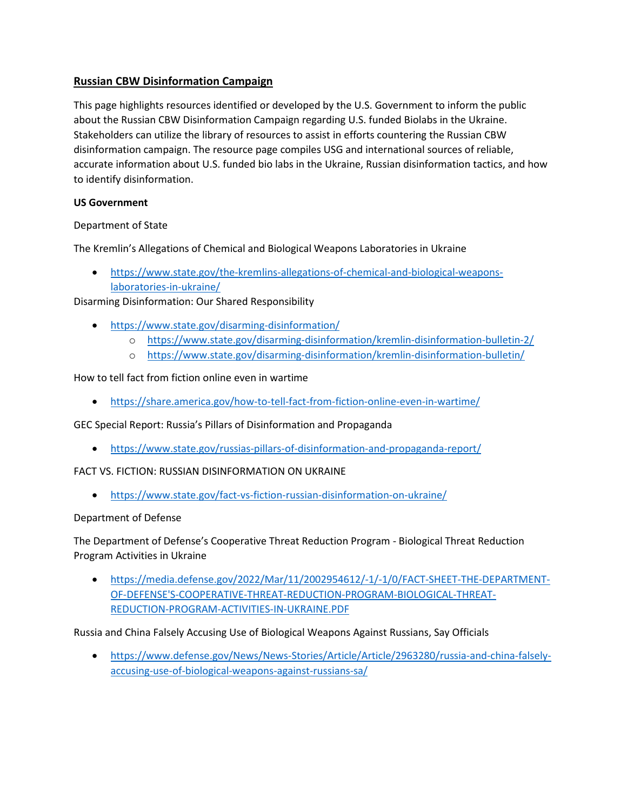# **Russian CBW Disinformation Campaign**

 Stakeholders can utilize the library of resources to assist in efforts countering the Russian CBW This page highlights resources identified or developed by the U.S. Government to inform the public about the Russian CBW Disinformation Campaign regarding U.S. funded Biolabs in the Ukraine. disinformation campaign. The resource page compiles USG and international sources of reliable, accurate information about U.S. funded bio labs in the Ukraine, Russian disinformation tactics, and how to identify disinformation.

## **US Government**

## Department of State

The Kremlin's Allegations of Chemical and Biological Weapons Laboratories in Ukraine

laboratories-in-ukraine/ • [https://www.state.gov/the-kremlins-allegations-of-chemical-and-biological-weapons-](https://www.state.gov/the-kremlins-allegations-of-chemical-and-biological-weapons-laboratories-in-ukraine/)

Disarming Disinformation: Our Shared Responsibility

- <https://www.state.gov/disarming-disinformation/>
	- o <https://www.state.gov/disarming-disinformation/kremlin-disinformation-bulletin-2/>
- o https://www.state.gov/disarming-disinformation/kremlin-disinformation-bulletin/<br>How to tell fact from fiction online even in wartime

## How to tell fact from fiction online even in wartime

• <https://share.america.gov/how-to-tell-fact-from-fiction-online-even-in-wartime/>

GEC Special Report: Russia's Pillars of Disinformation and Propaganda

• <https://www.state.gov/russias-pillars-of-disinformation-and-propaganda-report/>

FACT VS. FICTION: RUSSIAN DISINFORMATION ON UKRAINE

• https://www.state.gov/fact-vs-fiction-russian-disinformation-on-ukraine/

#### Department of Defense

• https://www.state.gov/fact-vs-fiction-russian-disinformation-on-ukraine/<br>Department of Defense<br>The Department of Defense's Cooperative Threat Reduction Program - Biological Threat Reduction Program Activities in Ukraine

REDUCTION-PROGRAM-ACTIVITIES-IN-UKRAINE.PDF • [https://media.defense.gov/2022/Mar/11/2002954612/-1/-1/0/FACT-SHEET-THE-DEPARTMENT-](https://media.defense.gov/2022/Mar/11/2002954612/-1/-1/0/FACT-SHEET-THE-DEPARTMENT-OF-DEFENSE)[OF-DEFENSE'S-COOPERATIVE-THREAT-REDUCTION-PROGRAM-BIOLOGICAL-THREAT-](https://media.defense.gov/2022/Mar/11/2002954612/-1/-1/0/FACT-SHEET-THE-DEPARTMENT-OF-DEFENSE)

REDUCTION-PROGRAM-ACTIVITIES-IN-UKRAINE.PDF<br>Russia and China Falsely Accusing Use of Biological Weapons Against Russians, Say Officials

 [accusing-use-of-biological-weapons-against-russians-sa/](https://www.defense.gov/News/News-Stories/Article/Article/2963280/russia-and-china-falsely-accusing-use-of-biological-weapons-against-russians-sa/) • [https://www.defense.gov/News/News-Stories/Article/Article/2963280/russia-and-china-falsely-](https://www.defense.gov/News/News-Stories/Article/Article/2963280/russia-and-china-falsely-accusing-use-of-biological-weapons-against-russians-sa/)